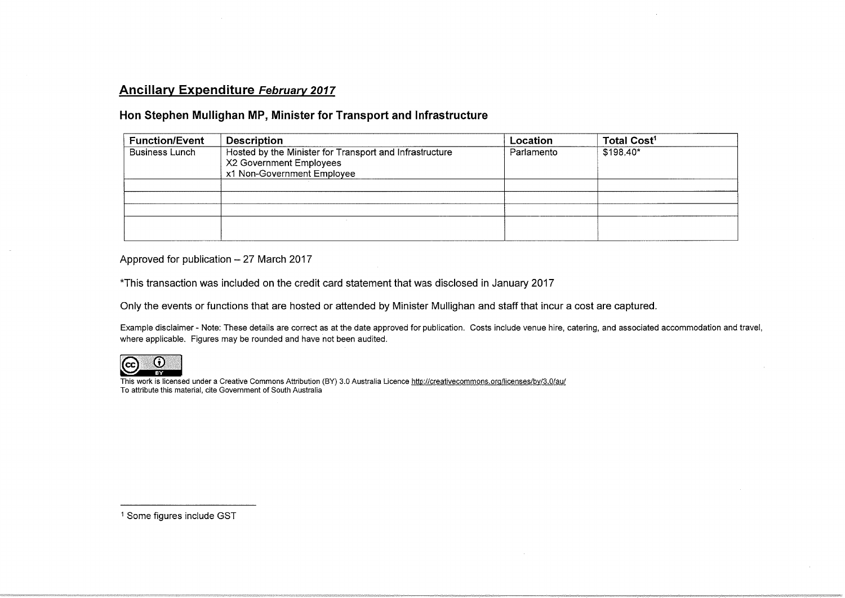## Ancillary Expenditure February 2017

## Hon Stephen Mullighan MP, Minister for Transport and Infrastructure

| <b>Function/Event</b> | <b>Description</b>                                                                                               | Location   | Total Cost <sup>1</sup> |
|-----------------------|------------------------------------------------------------------------------------------------------------------|------------|-------------------------|
| Business Lunch        | Hosted by the Minister for Transport and Infrastructure<br>X2 Government Employees<br>x1 Non-Government Employee | Parlamento | \$198.40*               |
|                       |                                                                                                                  |            |                         |
|                       |                                                                                                                  |            |                         |
|                       |                                                                                                                  |            |                         |
|                       |                                                                                                                  |            |                         |

Approved for publication  $-27$  March 2017

\*This transaction was included on the credit card statement that was disclosed in January 2017

Only the events or functions that are hosted or attended by Minister Mullighan and staff that incur a cost are captured.

Example disclaimer - Note: These details are correct as at the date approved for publication. Costs include venue hire, catering, and associated accommodation and trav where applicable. Figures may be rounded and have not been audited.



This work is licensed under a Creative Commons Attribution (BY) 3.0 Australia Licence http://creativecommons.org/licenses/by/3.0/au/ To attribute this material, cite Government of South Australia

<sup>1</sup> Some figures include GST